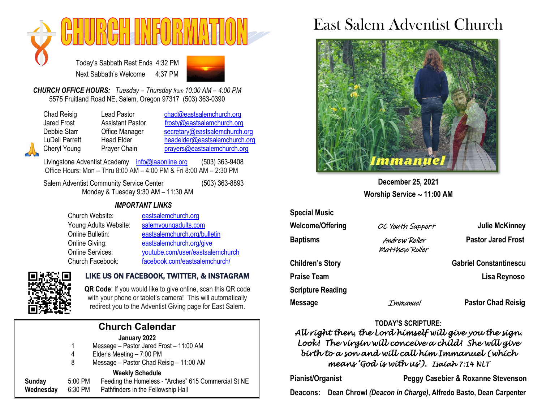

Today's Sabbath Rest Ends 4:32 PM Next Sabbath's Welcome 4:37 PM



*CHURCH OFFICE HOURS: Tuesday – Thursday from 10:30 AM – 4:00 PM* 5575 Fruitland Road NE, Salem, Oregon 97317 (503) 363-0390

Chad Reisig Lead Pastor [chad@eastsalemchurch.org](mailto:chad@eastsalemchurch.org) Jared Frost Assistant Pastor [frosty@eastsalemchurch.org](mailto:frosty@eastsalemchurch.org) Debbie Starr Cffice Manager [secretary@eastsalemchurch.org](mailto:secretary@eastsalemchurch.org) LuDell Parrett Head Elder [headelder@eastsalemchurch.org](mailto:headelder@eastsalemchurch.org) Cheryl Young Prayer Chain [prayers@eastsalemchurch.org](mailto:prayers@eastsalemchurch.org)

Livingstone Adventist Academy [info@laaonline.org](mailto:info@laaonline.org) (503) 363-9408 Office Hours: Mon – Thru 8:00 AM – 4:00 PM & Fri 8:00 AM – 2:30 PM

Salem Adventist Community Service Center (503) 363-8893 Monday & Tuesday 9:30 AM – 11:30 AM

#### *IMPORTANT LINKS*

| Church Website:       | eastsalemchurch.org              |
|-----------------------|----------------------------------|
| Young Adults Website: | salemyoungadults.com             |
| Online Bulletin:      | eastsalemchurch.org/bulletin     |
| Online Giving:        | eastsalemchurch.org/give         |
| Online Services:      | youtube.com/user/eastsalemchurch |
| Church Facebook:      | facebook.com/eastsalemchurch/    |



#### LIKE US ON FACEBOOK, TWITTER, & INSTAGRAM

**QR Code**: If you would like to give online, scan this QR code with your phone or tablet's camera! This will automatically redirect you to the Adventist Giving page for East Salem.

## **Church Calendar**

#### **January 2022**

1 Message – Pastor Jared Frost – 11:00 AM

- 4 Elder's Meeting 7:00 PM
- 8 Message Pastor Chad Reisig 11:00 AM

#### **Weekly Schedule**

**Sunday** 5:00 PM Feeding the Homeless - "Arches" 615 Commercial St NE

**Wednesday** 6:30 PM Pathfinders in the Fellowship Hall

# East Salem Adventist Church



**December 25, 2021 Worship Service 11:00 AM**

| <b>Special Music</b>     |                                 |                               |
|--------------------------|---------------------------------|-------------------------------|
| <b>Welcome/Offering</b>  | OC Youth Support                | <b>Julie McKinney</b>         |
| <b>Baptisms</b>          | Andrew Roller<br>Matthew Roller | <b>Pastor Jared Frost</b>     |
| <b>Children's Story</b>  |                                 | <b>Gabriel Constantinescu</b> |
| <b>Praise Team</b>       |                                 | Lisa Reynoso                  |
| <b>Scripture Reading</b> |                                 |                               |
| <b>Message</b>           | Immanuel                        | <b>Pastor Chad Reisig</b>     |

#### **TODAY'S SCRIPTURE:**

*All right then, the Lord himself will give you the sign. Look! The virgin will conceive a child! She will give birth to a son and will call him Immanuel (which means 'God is with us'). Isaiah 7:14 NLT* 

**Pianist/Organist Peggy Casebier & Roxanne Stevenson**

**Deacons: Dean Chrowl** *(Deacon in Charge)***, Alfredo Basto, Dean Carpenter**